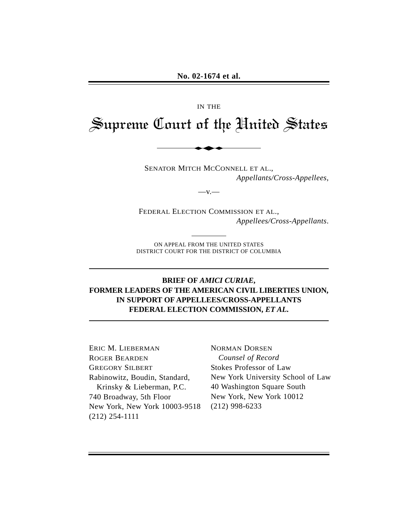#### IN THE

# Supreme Court of the United States

 $-V -$ 

SENATOR MITCH MCCONNELL ET AL., *Appellants/Cross-Appellees*,

FEDERAL ELECTION COMMISSION ET AL., *Appellees/Cross-Appellants*.

ON APPEAL FROM THE UNITED STATES DISTRICT COURT FOR THE DISTRICT OF COLUMBIA

## **BRIEF OF** *AMICI CURIAE***, FORMER LEADERS OF THE AMERICAN CIVIL LIBERTIES UNION, IN SUPPORT OF APPELLEES/CROSS-APPELLANTS FEDERAL ELECTION COMMISSION,** *ET AL***.**

ERIC M. LIEBERMAN ROGER BEARDEN GREGORY SILBERT Rabinowitz, Boudin, Standard, Krinsky & Lieberman, P.C. 740 Broadway, 5th Floor New York, New York 10003-9518 (212) 254-1111

NORMAN DORSEN *Counsel of Record*  Stokes Professor of Law New York University School of Law 40 Washington Square South New York, New York 10012 (212) 998-6233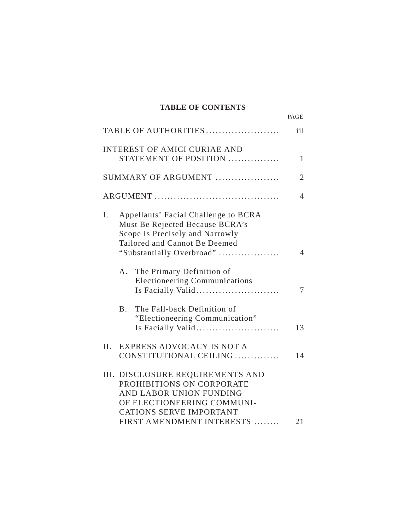#### **TABLE OF CONTENTS**

|                                                                                                                                                                                       | PAGE           |
|---------------------------------------------------------------------------------------------------------------------------------------------------------------------------------------|----------------|
| TABLE OF AUTHORITIES                                                                                                                                                                  | iii            |
| <b>INTEREST OF AMICI CURIAE AND</b><br>STATEMENT OF POSITION                                                                                                                          | 1              |
| SUMMARY OF ARGUMENT                                                                                                                                                                   | $\overline{2}$ |
|                                                                                                                                                                                       | 4              |
| Appellants' Facial Challenge to BCRA<br>Ι.<br>Must Be Rejected Because BCRA's<br>Scope Is Precisely and Narrowly<br>Tailored and Cannot Be Deemed<br>"Substantially Overbroad"        | 4              |
| The Primary Definition of<br>$A_{\cdot}$<br><b>Electioneering Communications</b><br>Is Facially Valid                                                                                 | 7              |
| The Fall-back Definition of<br><b>B.</b><br>"Electioneering Communication"<br>Is Facially Valid                                                                                       | 13             |
| EXPRESS ADVOCACY IS NOT A<br>II.<br>CONSTITUTIONAL CEILING                                                                                                                            | 14             |
| III. DISCLOSURE REQUIREMENTS AND<br>PROHIBITIONS ON CORPORATE<br>AND LABOR UNION FUNDING<br>OF ELECTIONEERING COMMUNI-<br><b>CATIONS SERVE IMPORTANT</b><br>FIRST AMENDMENT INTERESTS | 21             |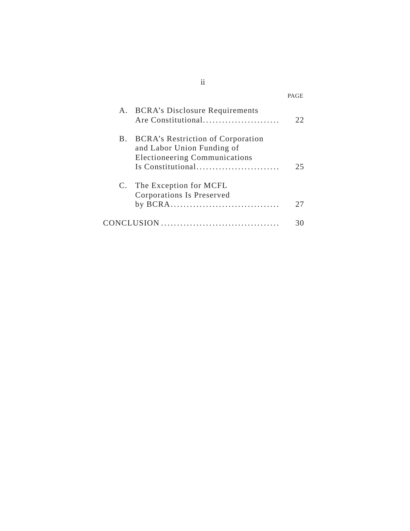|            |                                                                                                                                     | PAGE |
|------------|-------------------------------------------------------------------------------------------------------------------------------------|------|
|            | A. BCRA's Disclosure Requirements<br>Are Constitutional                                                                             | 22   |
| <b>B</b> . | <b>BCRA's Restriction of Corporation</b><br>and Labor Union Funding of<br><b>Electioneering Communications</b><br>Is Constitutional | 25   |
| C.         | The Exception for MCFL<br>Corporations Is Preserved                                                                                 | 27   |
|            |                                                                                                                                     |      |

ii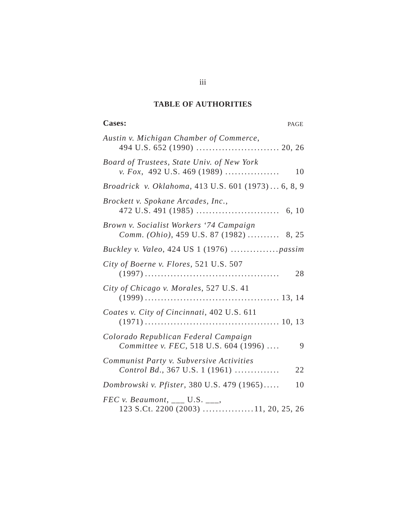### **TABLE OF AUTHORITIES**

## Cases: **PAGE**

| Austin v. Michigan Chamber of Commerce,                                            |
|------------------------------------------------------------------------------------|
| Board of Trustees, State Univ. of New York<br>v. Fox, 492 U.S. 469 (1989)<br>10    |
| Broadrick v. Oklahoma, 413 U.S. 601 (1973) 6, 8, 9                                 |
| Brockett v. Spokane Arcades, Inc.,                                                 |
| Brown v. Socialist Workers '74 Campaign<br>Comm. (Ohio), 459 U.S. 87 (1982)  8, 25 |
|                                                                                    |
| City of Boerne v. Flores, 521 U.S. 507<br>28                                       |
| City of Chicago v. Morales, 527 U.S. 41                                            |
| Coates v. City of Cincinnati, 402 U.S. 611                                         |
| Colorado Republican Federal Campaign<br>Committee v. FEC, 518 U.S. 604 (1996)<br>9 |
| Communist Party v. Subversive Activities<br>Control Bd., 367 U.S. 1 (1961)<br>22   |
| Dombrowski v. Pfister, 380 U.S. 479 (1965)<br>10                                   |
| $FEC$ v. Beaumont, ___ U.S. ___,<br>123 S.Ct. 2200 (2003) 11, 20, 25, 26           |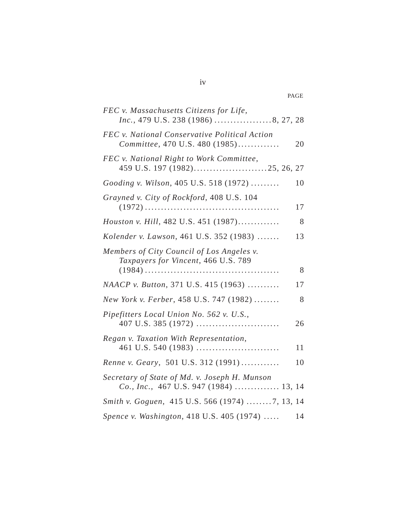|                                                                                         | PAGE |
|-----------------------------------------------------------------------------------------|------|
| FEC v. Massachusetts Citizens for Life,<br>Inc., 479 U.S. 238 (1986) 8, 27, 28          |      |
| FEC v. National Conservative Political Action<br>Committee, 470 U.S. 480 (1985)         | 20   |
| FEC v. National Right to Work Committee,                                                |      |
| Gooding v. Wilson, 405 U.S. 518 (1972)                                                  | 10   |
| Grayned v. City of Rockford, 408 U.S. 104                                               | 17   |
| Houston v. Hill, 482 U.S. 451 (1987)                                                    | 8    |
| Kolender v. Lawson, 461 U.S. 352 (1983)                                                 | 13   |
| Members of City Council of Los Angeles v.<br>Taxpayers for Vincent, 466 U.S. 789        |      |
|                                                                                         | 8    |
| NAACP v. Button, 371 U.S. 415 (1963)                                                    | 17   |
| New York v. Ferber, 458 U.S. 747 (1982)                                                 | 8    |
| Pipefitters Local Union No. 562 v. U.S.,                                                | 26   |
| Regan v. Taxation With Representation,                                                  | 11   |
| Renne v. Geary, 501 U.S. 312 (1991)                                                     | 10   |
| Secretary of State of Md. v. Joseph H. Munson<br>Co., Inc., 467 U.S. 947 (1984)  13, 14 |      |
| Smith v. Goguen, 415 U.S. 566 (1974) 7, 13, 14                                          |      |
| Spence v. Washington, 418 U.S. 405 (1974)                                               | 14   |

iv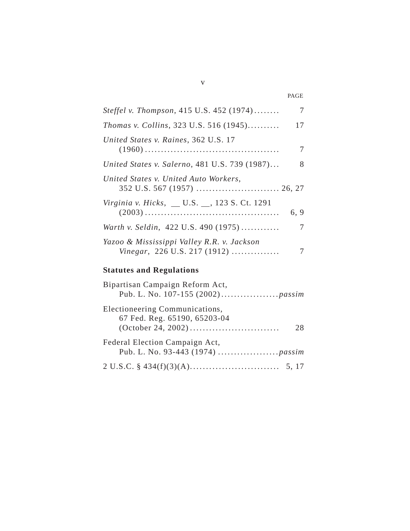| <i>Steffel v. Thompson</i> , 415 U.S. 452 (1974)<br>7                           |
|---------------------------------------------------------------------------------|
| Thomas v. Collins, 323 U.S. 516 (1945)<br>17                                    |
| United States v. Raines, 362 U.S. 17<br>7                                       |
| United States v. Salerno, 481 U.S. 739 (1987)<br>8                              |
| United States v. United Auto Workers,                                           |
| Virginia v. Hicks, _ U.S. _, 123 S. Ct. 1291<br>6, 9                            |
| Warth v. Seldin, 422 U.S. 490 (1975)<br>7                                       |
| Yazoo & Mississippi Valley R.R. v. Jackson<br>Vinegar, 226 U.S. 217 (1912)<br>7 |
| <b>Statutes and Regulations</b>                                                 |
| Bipartisan Campaign Reform Act,                                                 |
| Electioneering Communications,<br>67 Fed. Reg. 65190, 65203-04<br>28            |
| Federal Election Campaign Act,                                                  |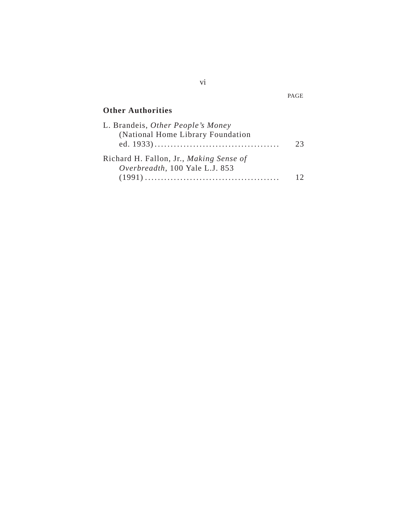# **Other Authorities**

| L. Brandeis, Other People's Money       |    |
|-----------------------------------------|----|
| (National Home Library Foundation       |    |
|                                         | フ3 |
| Richard H. Fallon, Jr., Making Sense of |    |
| Overbreadth, 100 Yale L.J. 853          |    |
|                                         |    |

vi

PAGE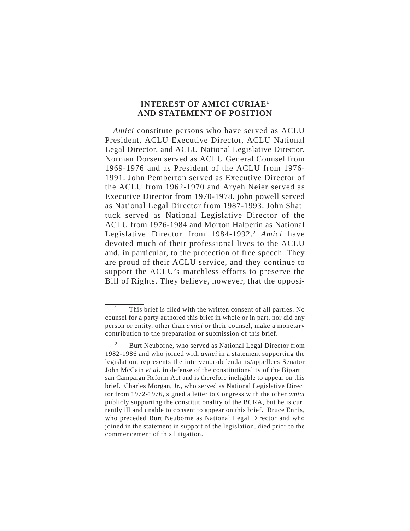#### **INTEREST OF AMICI CURIAE1 AND STATEMENT OF POSITION**

*Amici* constitute persons who have served as ACLU President, ACLU Executive Director, ACLU National Legal Director, and ACLU National Legislative Director. Norman Dorsen served as ACLU General Counsel from 1969-1976 and as President of the ACLU from 1976- 1991. John Pemberton served as Executive Director of the ACLU from 1962-1970 and Aryeh Neier served as Executive Director from 1970-1978. john powell served as National Legal Director from 1987-1993. John Shat tuck served as National Legislative Director of the ACLU from 1976-1984 and Morton Halperin as National Legislative Director from 1984-1992.<sup>2</sup> Amici have devoted much of their professional lives to the ACLU and, in particular, to the protection of free speech. They are proud of their ACLU service, and they continue to support the ACLU's matchless efforts to preserve the Bill of Rights. They believe, however, that the opposi-

This brief is filed with the written consent of all parties. No counsel for a party authored this brief in whole or in part, nor did any person or entity, other than *amici* or their counsel, make a monetary contribution to the preparation or submission of this brief.

<sup>&</sup>lt;sup>2</sup> Burt Neuborne, who served as National Legal Director from 1982-1986 and who joined with *amici* in a statement supporting the legislation, represents the intervenor-defendants/appellees Senator John McCain *et al.* in defense of the constitutionality of the Biparti san Campaign Reform Act and is therefore ineligible to appear on this brief. Charles Morgan, Jr., who served as National Legislative Direc tor from 1972-1976, signed a letter to Congress with the other *amici*  publicly supporting the constitutionality of the BCRA, but he is cur rently ill and unable to consent to appear on this brief. Bruce Ennis, who preceded Burt Neuborne as National Legal Director and who joined in the statement in support of the legislation, died prior to the commencement of this litigation.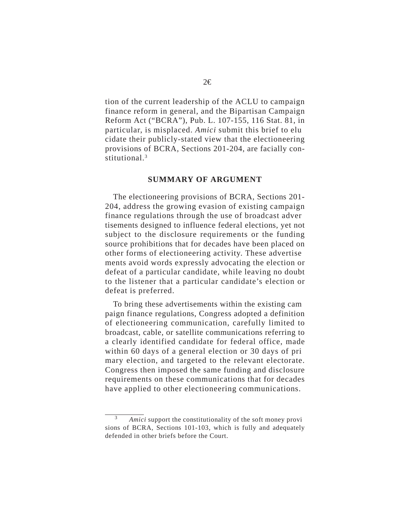tion of the current leadership of the ACLU to campaign finance reform in general, and the Bipartisan Campaign Reform Act ("BCRA"), Pub. L. 107-155, 116 Stat. 81, in particular, is misplaced. *Amici* submit this brief to elu cidate their publicly-stated view that the electioneering provisions of BCRA, Sections 201-204, are facially constitutional.3

#### **SUMMARY OF ARGUMENT**

The electioneering provisions of BCRA, Sections 201- 204, address the growing evasion of existing campaign finance regulations through the use of broadcast adver tisements designed to influence federal elections, yet not subject to the disclosure requirements or the funding source prohibitions that for decades have been placed on other forms of electioneering activity. These advertise ments avoid words expressly advocating the election or defeat of a particular candidate, while leaving no doubt to the listener that a particular candidate's election or defeat is preferred.

To bring these advertisements within the existing cam paign finance regulations, Congress adopted a definition of electioneering communication, carefully limited to broadcast, cable, or satellite communications referring to a clearly identified candidate for federal office, made within 60 days of a general election or 30 days of pri mary election, and targeted to the relevant electorate. Congress then imposed the same funding and disclosure requirements on these communications that for decades have applied to other electioneering communications.

<sup>3</sup>*Amici* support the constitutionality of the soft money provi sions of BCRA, Sections 101-103, which is fully and adequately defended in other briefs before the Court.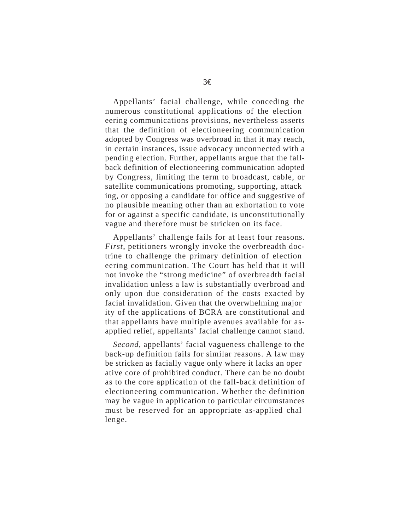Appellants' facial challenge, while conceding the numerous constitutional applications of the election eering communications provisions, nevertheless asserts that the definition of electioneering communication adopted by Congress was overbroad in that it may reach, in certain instances, issue advocacy unconnected with a pending election. Further, appellants argue that the fallback definition of electioneering communication adopted by Congress, limiting the term to broadcast, cable, or satellite communications promoting, supporting, attack ing, or opposing a candidate for office and suggestive of no plausible meaning other than an exhortation to vote for or against a specific candidate, is unconstitutionally vague and therefore must be stricken on its face.

Appellants' challenge fails for at least four reasons. *First*, petitioners wrongly invoke the overbreadth doctrine to challenge the primary definition of election eering communication. The Court has held that it will not invoke the "strong medicine" of overbreadth facial invalidation unless a law is substantially overbroad and only upon due consideration of the costs exacted by facial invalidation. Given that the overwhelming major ity of the applications of BCRA are constitutional and that appellants have multiple avenues available for asapplied relief, appellants' facial challenge cannot stand.

*Second*, appellants' facial vagueness challenge to the back-up definition fails for similar reasons. A law may be stricken as facially vague only where it lacks an oper ative core of prohibited conduct. There can be no doubt as to the core application of the fall-back definition of electioneering communication. Whether the definition may be vague in application to particular circumstances must be reserved for an appropriate as-applied chal lenge.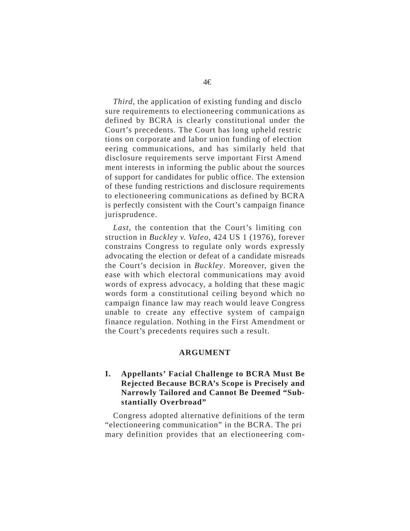*Third*, the application of existing funding and disclo sure requirements to electioneering communications as defined by BCRA is clearly constitutional under the Court's precedents. The Court has long upheld restric tions on corporate and labor union funding of election eering communications, and has similarly held that disclosure requirements serve important First Amend ment interests in informing the public about the sources of support for candidates for public office. The extension of these funding restrictions and disclosure requirements to electioneering communications as defined by BCRA is perfectly consistent with the Court's campaign finance jurisprudence.

*Last*, the contention that the Court's limiting con struction in *Buckley v. Valeo*, 424 US 1 (1976), forever constrains Congress to regulate only words expressly advocating the election or defeat of a candidate misreads the Court's decision in *Buckley*. Moreover, given the ease with which electoral communications may avoid words of express advocacy, a holding that these magic words form a constitutional ceiling beyond which no campaign finance law may reach would leave Congress unable to create any effective system of campaign finance regulation. Nothing in the First Amendment or the Court's precedents requires such a result.

#### **ARGUMENT**

#### **I. Appellants' Facial Challenge to BCRA Must Be Rejected Because BCRA's Scope is Precisely and Narrowly Tailored and Cannot Be Deemed "Substantially Overbroad"**

Congress adopted alternative definitions of the term "electioneering communication" in the BCRA. The pri mary definition provides that an electioneering com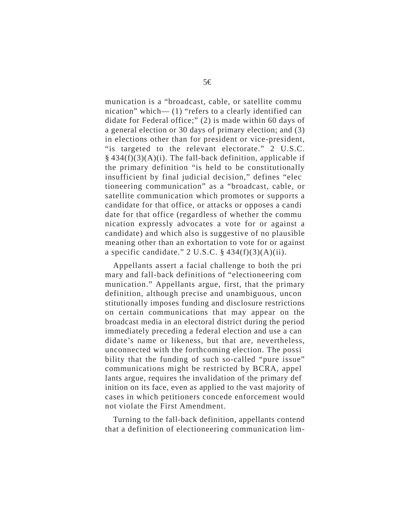munication is a "broadcast, cable, or satellite commu nication" which— (1) "refers to a clearly identified can didate for Federal office;" (2) is made within 60 days of a general election or 30 days of primary election; and (3) in elections other than for president or vice-president, "is targeted to the relevant electorate." 2 U.S.C.  $§$  434(f)(3)(A)(i). The fall-back definition, applicable if the primary definition "is held to be constitutionally insufficient by final judicial decision," defines "elec tioneering communication" as a "broadcast, cable, or satellite communication which promotes or supports a candidate for that office, or attacks or opposes a candi date for that office (regardless of whether the commu nication expressly advocates a vote for or against a candidate) and which also is suggestive of no plausible meaning other than an exhortation to vote for or against a specific candidate."  $2 \text{ U.S.C. } §$  434(f)(3)(A)(ii).

Appellants assert a facial challenge to both the pri mary and fall-back definitions of "electioneering com munication." Appellants argue, first, that the primary definition, although precise and unambiguous, uncon stitutionally imposes funding and disclosure restrictions on certain communications that may appear on the broadcast media in an electoral district during the period immediately preceding a federal election and use a can didate's name or likeness, but that are, nevertheless, unconnected with the forthcoming election. The possi bility that the funding of such so-called "pure issue" communications might be restricted by BCRA, appel lants argue, requires the invalidation of the primary def inition on its face, even as applied to the vast majority of cases in which petitioners concede enforcement would not violate the First Amendment.

Turning to the fall-back definition, appellants contend that a definition of electioneering communication lim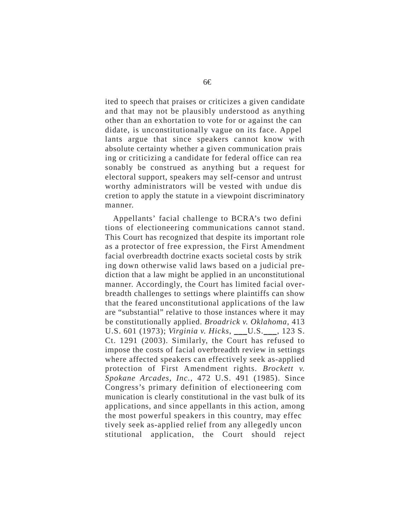ited to speech that praises or criticizes a given candidate and that may not be plausibly understood as anything other than an exhortation to vote for or against the can didate, is unconstitutionally vague on its face. Appel lants argue that since speakers cannot know with absolute certainty whether a given communication prais ing or criticizing a candidate for federal office can rea sonably be construed as anything but a request for electoral support, speakers may self-censor and untrust worthy administrators will be vested with undue dis cretion to apply the statute in a viewpoint discriminatory manner.

Appellants' facial challenge to BCRA's two defini tions of electioneering communications cannot stand. This Court has recognized that despite its important role as a protector of free expression, the First Amendment facial overbreadth doctrine exacts societal costs by strik ing down otherwise valid laws based on a judicial prediction that a law might be applied in an unconstitutional manner. Accordingly, the Court has limited facial overbreadth challenges to settings where plaintiffs can show that the feared unconstitutional applications of the law are "substantial" relative to those instances where it may be constitutionally applied. *Broadrick v. Oklahoma*, 413 U.S. 601 (1973); *Virginia v. Hicks*, \_\_\_U.S.\_\_\_, 123 S. Ct. 1291 (2003). Similarly, the Court has refused to impose the costs of facial overbreadth review in settings where affected speakers can effectively seek as-applied protection of First Amendment rights. *Brockett v. Spokane Arcades, Inc.*, 472 U.S. 491 (1985). Since Congress's primary definition of electioneering com munication is clearly constitutional in the vast bulk of its applications, and since appellants in this action, among the most powerful speakers in this country, may effec tively seek as-applied relief from any allegedly uncon stitutional application, the Court should reject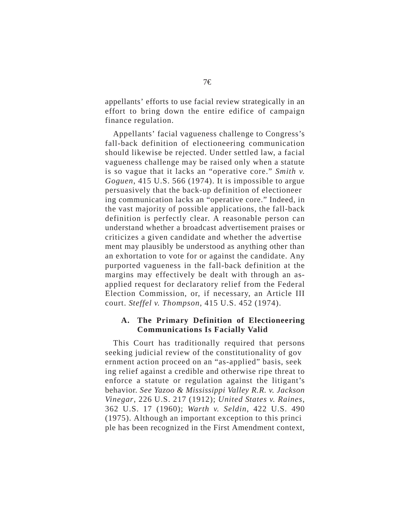appellants' efforts to use facial review strategically in an effort to bring down the entire edifice of campaign finance regulation.

Appellants' facial vagueness challenge to Congress's fall-back definition of electioneering communication should likewise be rejected. Under settled law, a facial vagueness challenge may be raised only when a statute is so vague that it lacks an "operative core." *Smith v. Goguen*, 415 U.S. 566 (1974). It is impossible to argue persuasively that the back-up definition of electioneer ing communication lacks an "operative core." Indeed, in the vast majority of possible applications, the fall-back definition is perfectly clear. A reasonable person can understand whether a broadcast advertisement praises or criticizes a given candidate and whether the advertise ment may plausibly be understood as anything other than an exhortation to vote for or against the candidate. Any purported vagueness in the fall-back definition at the margins may effectively be dealt with through an asapplied request for declaratory relief from the Federal Election Commission, or, if necessary, an Article III court. *Steffel v. Thompson*, 415 U.S. 452 (1974).

#### **A. The Primary Definition of Electioneering Communications Is Facially Valid**

This Court has traditionally required that persons seeking judicial review of the constitutionality of gov ernment action proceed on an "as-applied" basis, seek ing relief against a credible and otherwise ripe threat to enforce a statute or regulation against the litigant's behavior. *See Yazoo & Mississippi Valley R.R. v. Jackson Vinegar*, 226 U.S. 217 (1912); *United States v. Raines*, 362 U.S. 17 (1960); *Warth v. Seldin*, 422 U.S. 490 (1975). Although an important exception to this princi ple has been recognized in the First Amendment context,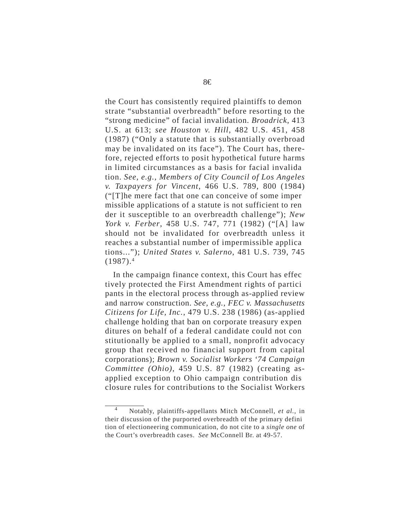the Court has consistently required plaintiffs to demon strate "substantial overbreadth" before resorting to the "strong medicine" of facial invalidation. *Broadrick*, 413 U.S. at 613; *see Houston v. Hill*, 482 U.S. 451, 458 (1987) ("Only a statute that is substantially overbroad may be invalidated on its face"). The Court has, therefore, rejected efforts to posit hypothetical future harms in limited circumstances as a basis for facial invalida tion. *See, e.g., Members of City Council of Los Angeles v. Taxpayers for Vincent*, 466 U.S. 789, 800 (1984) ("[T]he mere fact that one can conceive of some imper missible applications of a statute is not sufficient to ren der it susceptible to an overbreadth challenge"); *New York v. Ferber*, 458 U.S. 747, 771 (1982) ("[A] law should not be invalidated for overbreadth unless it reaches a substantial number of impermissible applica tions..."); *United States v. Salerno*, 481 U.S. 739, 745  $(1987).<sup>4</sup>$ 

In the campaign finance context, this Court has effec tively protected the First Amendment rights of partici pants in the electoral process through as-applied review and narrow construction. *See, e.g., FEC v. Massachusetts Citizens for Life, Inc.*, 479 U.S. 238 (1986) (as-applied challenge holding that ban on corporate treasury expen ditures on behalf of a federal candidate could not con stitutionally be applied to a small, nonprofit advocacy group that received no financial support from capital corporations); *Brown v. Socialist Workers '74 Campaign Committee (Ohio)*, 459 U.S. 87 (1982) (creating asapplied exception to Ohio campaign contribution dis closure rules for contributions to the Socialist Workers

<sup>4</sup> Notably, plaintiffs-appellants Mitch McConnell, *et al.*, in their discussion of the purported overbreadth of the primary defini tion of electioneering communication, do not cite to a *single one* of the Court's overbreadth cases. *See* McConnell Br. at 49-57.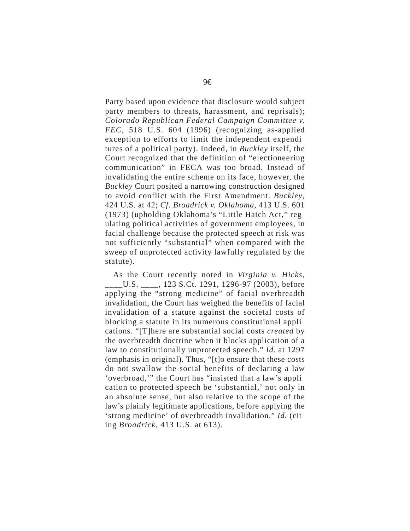Party based upon evidence that disclosure would subject party members to threats, harassment, and reprisals); *Colorado Republican Federal Campaign Committee v. FEC*, 518 U.S. 604 (1996) (recognizing as-applied exception to efforts to limit the independent expendi tures of a political party). Indeed, in *Buckley* itself, the Court recognized that the definition of "electioneering communication" in FECA was too broad. Instead of invalidating the entire scheme on its face, however, the *Buckley* Court posited a narrowing construction designed to avoid conflict with the First Amendment. *Buckley*, 424 U.S. at 42; *Cf. Broadrick v. Oklahoma*, 413 U.S. 601 (1973) (upholding Oklahoma's "Little Hatch Act," reg ulating political activities of government employees, in facial challenge because the protected speech at risk was not sufficiently "substantial" when compared with the sweep of unprotected activity lawfully regulated by the statute).

As the Court recently noted in *Virginia v. Hicks*, \_\_\_\_U.S. \_\_\_\_, 123 S.Ct. 1291, 1296-97 (2003), before applying the "strong medicine" of facial overbreadth invalidation, the Court has weighed the benefits of facial invalidation of a statute against the societal costs of blocking a statute in its numerous constitutional appli cations. "[T]here are substantial social costs *created* by the overbreadth doctrine when it blocks application of a law to constitutionally unprotected speech." *Id.* at 1297 (emphasis in original). Thus, "[t]o ensure that these costs do not swallow the social benefits of declaring a law 'overbroad,'" the Court has "insisted that a law's appli cation to protected speech be 'substantial,' not only in an absolute sense, but also relative to the scope of the law's plainly legitimate applications, before applying the 'strong medicine' of overbreadth invalidation." *Id.* (cit ing *Broadrick*, 413 U.S. at 613).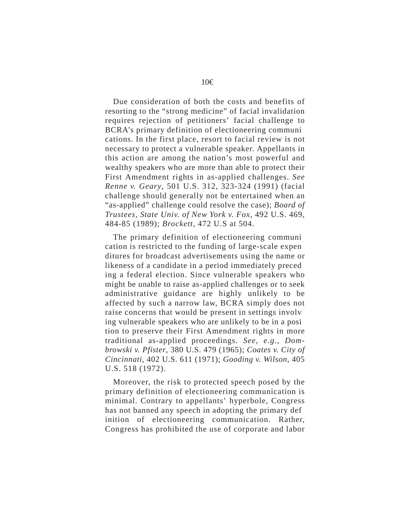Due consideration of both the costs and benefits of resorting to the "strong medicine" of facial invalidation requires rejection of petitioners' facial challenge to BCRA's primary definition of electioneering communi cations. In the first place, resort to facial review is not necessary to protect a vulnerable speaker. Appellants in this action are among the nation's most powerful and wealthy speakers who are more than able to protect their First Amendment rights in as-applied challenges. *See Renne v. Geary*, 501 U.S. 312, 323-324 (1991) (facial challenge should generally not be entertained when an "as-applied" challenge could resolve the case); *Board of Trustees, State Univ. of New York v. Fox*, 492 U.S. 469, 484-85 (1989); *Brockett*, 472 U.S at 504.

The primary definition of electioneering communi cation is restricted to the funding of large-scale expen ditures for broadcast advertisements using the name or likeness of a candidate in a period immediately preced ing a federal election. Since vulnerable speakers who might be unable to raise as-applied challenges or to seek administrative guidance are highly unlikely to be affected by such a narrow law, BCRA simply does not raise concerns that would be present in settings involv ing vulnerable speakers who are unlikely to be in a posi tion to preserve their First Amendment rights in more traditional as-applied proceedings. *See, e.g., Dombrowski v. Pfister*, 380 U.S. 479 (1965); *Coates v. City of Cincinnati*, 402 U.S. 611 (1971); *Gooding v. Wilson*, 405 U.S. 518 (1972).

Moreover, the risk to protected speech posed by the primary definition of electioneering communication is minimal. Contrary to appellants' hyperbole, Congress has not banned any speech in adopting the primary def inition of electioneering communication. Rather, Congress has prohibited the use of corporate and labor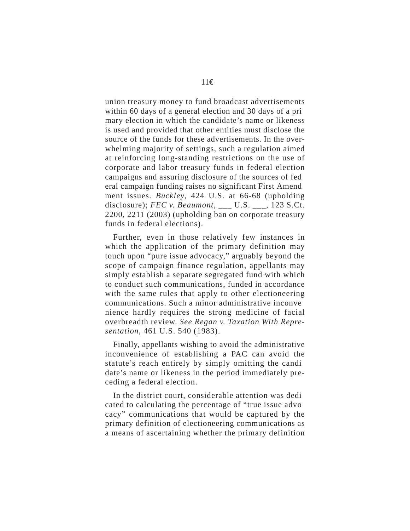union treasury money to fund broadcast advertisements within 60 days of a general election and 30 days of a pri mary election in which the candidate's name or likeness is used and provided that other entities must disclose the source of the funds for these advertisements. In the overwhelming majority of settings, such a regulation aimed at reinforcing long-standing restrictions on the use of corporate and labor treasury funds in federal election campaigns and assuring disclosure of the sources of fed eral campaign funding raises no significant First Amend ment issues. *Buckley*, 424 U.S. at 66-68 (upholding disclosure); *FEC v. Beaumont*, \_\_\_ U.S. \_\_\_, 123 S.Ct. 2200, 2211 (2003) (upholding ban on corporate treasury funds in federal elections).

Further, even in those relatively few instances in which the application of the primary definition may touch upon "pure issue advocacy," arguably beyond the scope of campaign finance regulation, appellants may simply establish a separate segregated fund with which to conduct such communications, funded in accordance with the same rules that apply to other electioneering communications. Such a minor administrative inconve nience hardly requires the strong medicine of facial overbreadth review. *See Regan v. Taxation With Representation*, 461 U.S. 540 (1983).

Finally, appellants wishing to avoid the administrative inconvenience of establishing a PAC can avoid the statute's reach entirely by simply omitting the candi date's name or likeness in the period immediately preceding a federal election.

In the district court, considerable attention was dedi cated to calculating the percentage of "true issue advo cacy" communications that would be captured by the primary definition of electioneering communications as a means of ascertaining whether the primary definition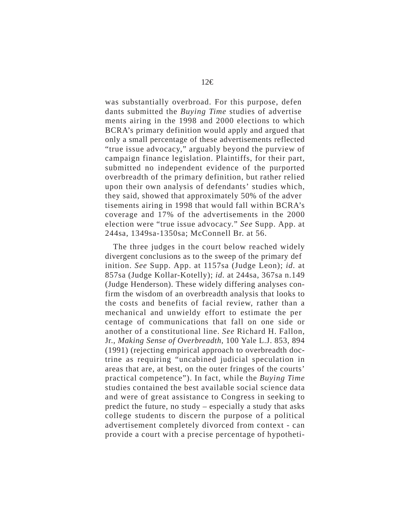was substantially overbroad. For this purpose, defen dants submitted the *Buying Time* studies of advertise ments airing in the 1998 and 2000 elections to which BCRA's primary definition would apply and argued that only a small percentage of these advertisements reflected "true issue advocacy," arguably beyond the purview of campaign finance legislation. Plaintiffs, for their part, submitted no independent evidence of the purported overbreadth of the primary definition, but rather relied upon their own analysis of defendants' studies which, they said, showed that approximately 50% of the adver tisements airing in 1998 that would fall within BCRA's coverage and 17% of the advertisements in the 2000 election were "true issue advocacy." *See* Supp. App. at 244sa, 1349sa-1350sa; McConnell Br. at 56.

The three judges in the court below reached widely divergent conclusions as to the sweep of the primary def inition. *See* Supp. App. at 1157sa (Judge Leon); *id.* at 857sa (Judge Kollar-Kotelly); *id.* at 244sa, 367sa n.149 (Judge Henderson). These widely differing analyses confirm the wisdom of an overbreadth analysis that looks to the costs and benefits of facial review, rather than a mechanical and unwieldy effort to estimate the per centage of communications that fall on one side or another of a constitutional line. *See* Richard H. Fallon, Jr., *Making Sense of Overbreadth*, 100 Yale L.J. 853, 894 (1991) (rejecting empirical approach to overbreadth doctrine as requiring "uncabined judicial speculation in areas that are, at best, on the outer fringes of the courts' practical competence"). In fact, while the *Buying Time*  studies contained the best available social science data and were of great assistance to Congress in seeking to predict the future, no study – especially a study that asks college students to discern the purpose of a political advertisement completely divorced from context - can provide a court with a precise percentage of hypotheti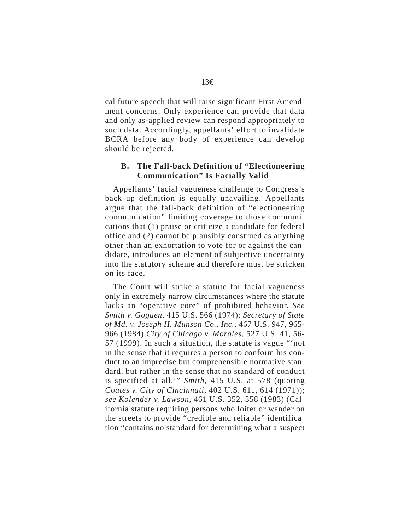cal future speech that will raise significant First Amend ment concerns. Only experience can provide that data and only as-applied review can respond appropriately to such data. Accordingly, appellants' effort to invalidate BCRA before any body of experience can develop should be rejected.

#### **B. The Fall-back Definition of "Electioneering Communication" Is Facially Valid**

Appellants' facial vagueness challenge to Congress's back up definition is equally unavailing. Appellants argue that the fall-back definition of "electioneering communication" limiting coverage to those communi cations that (1) praise or criticize a candidate for federal office and (2) cannot be plausibly construed as anything other than an exhortation to vote for or against the can didate, introduces an element of subjective uncertainty into the statutory scheme and therefore must be stricken on its face.

The Court will strike a statute for facial vagueness only in extremely narrow circumstances where the statute lacks an "operative core" of prohibited behavior. *See Smith v. Goguen*, 415 U.S. 566 (1974); *Secretary of State of Md. v. Joseph H. Munson Co., Inc.*, 467 U.S. 947, 965- 966 (1984) *City of Chicago v. Morales*, 527 U.S. 41, 56- 57 (1999). In such a situation, the statute is vague "'not in the sense that it requires a person to conform his conduct to an imprecise but comprehensible normative stan dard, but rather in the sense that no standard of conduct is specified at all.'" *Smith*, 415 U.S. at 578 (quoting *Coates v. City of Cincinnati*, 402 U.S. 611, 614 (1971)); *see Kolender v. Lawson*, 461 U.S. 352, 358 (1983) (Cal ifornia statute requiring persons who loiter or wander on the streets to provide "credible and reliable" identifica tion "contains no standard for determining what a suspect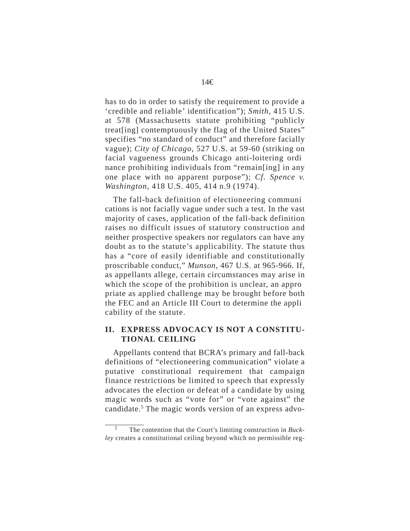has to do in order to satisfy the requirement to provide a 'credible and reliable' identification"); *Smith*, 415 U.S. at 578 (Massachusetts statute prohibiting "publicly treat[ing] contemptuously the flag of the United States" specifies "no standard of conduct" and therefore facially vague); *City of Chicago*, 527 U.S. at 59-60 (striking on facial vagueness grounds Chicago anti-loitering ordi nance prohibiting individuals from "remain[ing] in any one place with no apparent purpose"); *Cf. Spence v. Washington*, 418 U.S. 405, 414 n.9 (1974).

The fall-back definition of electioneering communi cations is not facially vague under such a test. In the vast majority of cases, application of the fall-back definition raises no difficult issues of statutory construction and neither prospective speakers nor regulators can have any doubt as to the statute's applicability. The statute thus has a "core of easily identifiable and constitutionally proscribable conduct," *Munson*, 467 U.S. at 965-966. If, as appellants allege, certain circumstances may arise in which the scope of the prohibition is unclear, an appro priate as applied challenge may be brought before both the FEC and an Article III Court to determine the appli cability of the statute.

#### **II. EXPRESS ADVOCACY IS NOT A CONSTITU-TIONAL CEILING**

Appellants contend that BCRA's primary and fall-back definitions of "electioneering communication" violate a putative constitutional requirement that campaign finance restrictions be limited to speech that expressly advocates the election or defeat of a candidate by using magic words such as "vote for" or "vote against" the candidate.5 The magic words version of an express advo-

The contention that the Court's limiting construction in *Buckley* creates a constitutional ceiling beyond which no permissible reg-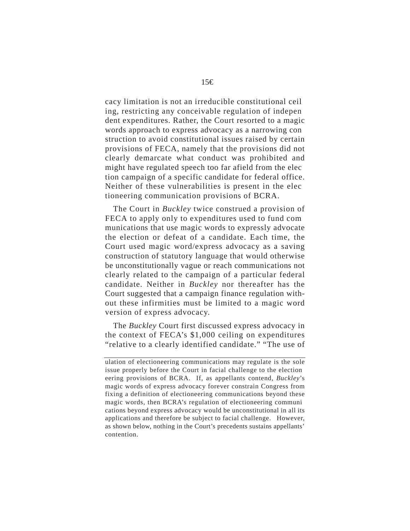cacy limitation is not an irreducible constitutional ceil ing, restricting any conceivable regulation of indepen dent expenditures. Rather, the Court resorted to a magic words approach to express advocacy as a narrowing con struction to avoid constitutional issues raised by certain provisions of FECA, namely that the provisions did not clearly demarcate what conduct was prohibited and might have regulated speech too far afield from the elec tion campaign of a specific candidate for federal office. Neither of these vulnerabilities is present in the elec tioneering communication provisions of BCRA.

The Court in *Buckley* twice construed a provision of FECA to apply only to expenditures used to fund com munications that use magic words to expressly advocate the election or defeat of a candidate. Each time, the Court used magic word/express advocacy as a saving construction of statutory language that would otherwise be unconstitutionally vague or reach communications not clearly related to the campaign of a particular federal candidate. Neither in *Buckley* nor thereafter has the Court suggested that a campaign finance regulation without these infirmities must be limited to a magic word version of express advocacy.

The *Buckley* Court first discussed express advocacy in the context of FECA's \$1,000 ceiling on expenditures "relative to a clearly identified candidate." "The use of

ulation of electioneering communications may regulate is the sole issue properly before the Court in facial challenge to the election eering provisions of BCRA. If, as appellants contend, *Buckley*'s magic words of express advocacy forever constrain Congress from fixing a definition of electioneering communications beyond these magic words, then BCRA's regulation of electioneering communi cations beyond express advocacy would be unconstitutional in all its applications and therefore be subject to facial challenge. However, as shown below, nothing in the Court's precedents sustains appellants' contention.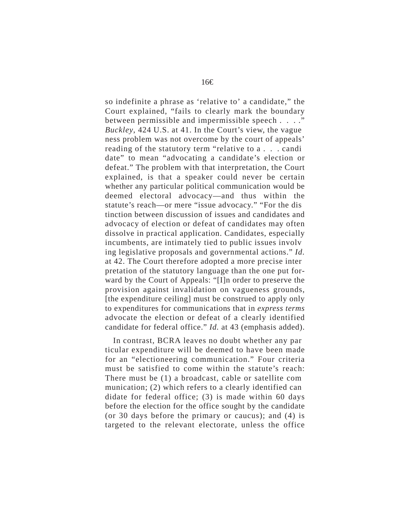so indefinite a phrase as 'relative to' a candidate," the Court explained, "fails to clearly mark the boundary between permissible and impermissible speech . . . ." *Buckley*, 424 U.S. at 41. In the Court's view, the vague ness problem was not overcome by the court of appeals' reading of the statutory term "relative to a . . . candi date" to mean "advocating a candidate's election or defeat." The problem with that interpretation, the Court explained, is that a speaker could never be certain whether any particular political communication would be deemed electoral advocacy—and thus within the statute's reach—or mere "issue advocacy." "For the dis tinction between discussion of issues and candidates and advocacy of election or defeat of candidates may often dissolve in practical application. Candidates, especially incumbents, are intimately tied to public issues involv ing legislative proposals and governmental actions." *Id.*  at 42. The Court therefore adopted a more precise inter pretation of the statutory language than the one put forward by the Court of Appeals: "[I]n order to preserve the provision against invalidation on vagueness grounds, [the expenditure ceiling] must be construed to apply only to expenditures for communications that in *express terms*  advocate the election or defeat of a clearly identified candidate for federal office." *Id.* at 43 (emphasis added).

In contrast, BCRA leaves no doubt whether any par ticular expenditure will be deemed to have been made for an "electioneering communication." Four criteria must be satisfied to come within the statute's reach: There must be (1) a broadcast, cable or satellite com munication; (2) which refers to a clearly identified can didate for federal office; (3) is made within 60 days before the election for the office sought by the candidate (or 30 days before the primary or caucus); and (4) is targeted to the relevant electorate, unless the office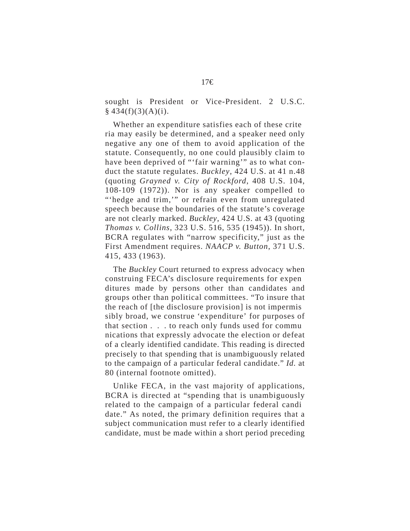sought is President or Vice-President. 2 U.S.C.  $§$  434(f)(3)(A)(i).

Whether an expenditure satisfies each of these crite ria may easily be determined, and a speaker need only negative any one of them to avoid application of the statute. Consequently, no one could plausibly claim to have been deprived of "'fair warning'" as to what conduct the statute regulates. *Buckley*, 424 U.S. at 41 n.48 (quoting *Grayned v. City of Rockford*, 408 U.S. 104, 108-109 (1972)). Nor is any speaker compelled to "'hedge and trim,'" or refrain even from unregulated speech because the boundaries of the statute's coverage are not clearly marked. *Buckley*, 424 U.S. at 43 (quoting *Thomas v. Collins*, 323 U.S. 516, 535 (1945)). In short, BCRA regulates with "narrow specificity," just as the First Amendment requires. *NAACP v. Button*, 371 U.S. 415, 433 (1963).

The *Buckley* Court returned to express advocacy when construing FECA's disclosure requirements for expen ditures made by persons other than candidates and groups other than political committees. "To insure that the reach of [the disclosure provision] is not impermis sibly broad, we construe 'expenditure' for purposes of that section . . . to reach only funds used for commu nications that expressly advocate the election or defeat of a clearly identified candidate. This reading is directed precisely to that spending that is unambiguously related to the campaign of a particular federal candidate." *Id.* at 80 (internal footnote omitted).

Unlike FECA, in the vast majority of applications, BCRA is directed at "spending that is unambiguously related to the campaign of a particular federal candi date." As noted, the primary definition requires that a subject communication must refer to a clearly identified candidate, must be made within a short period preceding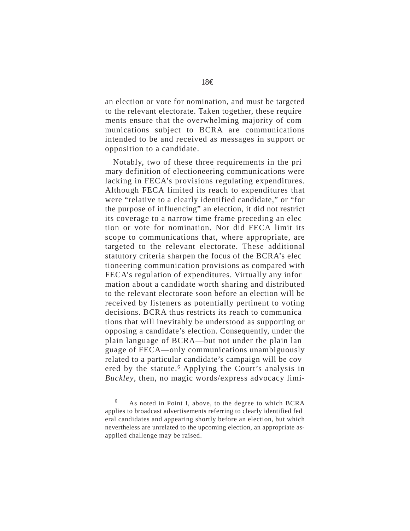an election or vote for nomination, and must be targeted to the relevant electorate. Taken together, these require ments ensure that the overwhelming majority of com munications subject to BCRA are communications intended to be and received as messages in support or opposition to a candidate.

Notably, two of these three requirements in the pri mary definition of electioneering communications were lacking in FECA's provisions regulating expenditures. Although FECA limited its reach to expenditures that were "relative to a clearly identified candidate," or "for the purpose of influencing" an election, it did not restrict its coverage to a narrow time frame preceding an elec tion or vote for nomination. Nor did FECA limit its scope to communications that, where appropriate, are targeted to the relevant electorate. These additional statutory criteria sharpen the focus of the BCRA's elec tioneering communication provisions as compared with FECA's regulation of expenditures. Virtually any infor mation about a candidate worth sharing and distributed to the relevant electorate soon before an election will be received by listeners as potentially pertinent to voting decisions. BCRA thus restricts its reach to communica tions that will inevitably be understood as supporting or opposing a candidate's election. Consequently, under the plain language of BCRA—but not under the plain lan guage of FECA—only communications unambiguously related to a particular candidate's campaign will be cov ered by the statute.<sup>6</sup> Applying the Court's analysis in *Buckley*, then, no magic words/express advocacy limi-

<sup>6</sup> As noted in Point I, above, to the degree to which BCRA applies to broadcast advertisements referring to clearly identified fed eral candidates and appearing shortly before an election, but which nevertheless are unrelated to the upcoming election, an appropriate asapplied challenge may be raised.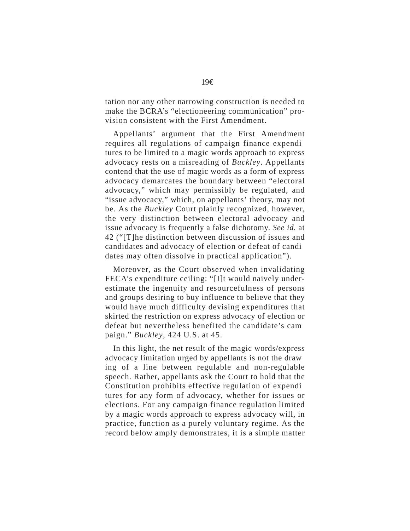tation nor any other narrowing construction is needed to make the BCRA's "electioneering communication" provision consistent with the First Amendment.

Appellants' argument that the First Amendment requires all regulations of campaign finance expendi tures to be limited to a magic words approach to express advocacy rests on a misreading of *Buckley*. Appellants contend that the use of magic words as a form of express advocacy demarcates the boundary between "electoral advocacy," which may permissibly be regulated, and "issue advocacy," which, on appellants' theory, may not be. As the *Buckley* Court plainly recognized, however, the very distinction between electoral advocacy and issue advocacy is frequently a false dichotomy. *See id.* at 42 ("[T]he distinction between discussion of issues and candidates and advocacy of election or defeat of candi dates may often dissolve in practical application").

Moreover, as the Court observed when invalidating FECA's expenditure ceiling: "[I]t would naively underestimate the ingenuity and resourcefulness of persons and groups desiring to buy influence to believe that they would have much difficulty devising expenditures that skirted the restriction on express advocacy of election or defeat but nevertheless benefited the candidate's cam paign." *Buckley*, 424 U.S. at 45.

In this light, the net result of the magic words/express advocacy limitation urged by appellants is not the draw ing of a line between regulable and non-regulable speech. Rather, appellants ask the Court to hold that the Constitution prohibits effective regulation of expendi tures for any form of advocacy, whether for issues or elections. For any campaign finance regulation limited by a magic words approach to express advocacy will, in practice, function as a purely voluntary regime. As the record below amply demonstrates, it is a simple matter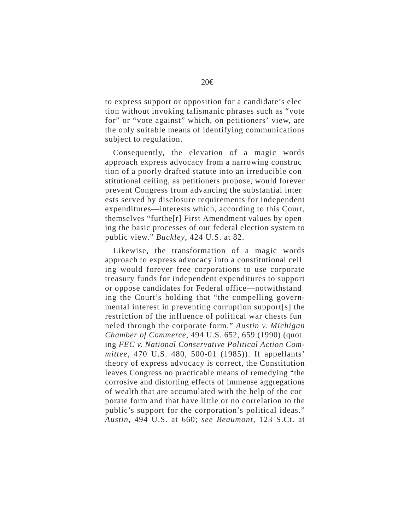to express support or opposition for a candidate's elec tion without invoking talismanic phrases such as "vote for" or "vote against" which, on petitioners' view, are the only suitable means of identifying communications subject to regulation.

Consequently, the elevation of a magic words approach express advocacy from a narrowing construc tion of a poorly drafted statute into an irreducible con stitutional ceiling, as petitioners propose, would forever prevent Congress from advancing the substantial inter ests served by disclosure requirements for independent expenditures—interests which, according to this Court, themselves "furthe[r] First Amendment values by open ing the basic processes of our federal election system to public view." *Buckley*, 424 U.S. at 82.

Likewise, the transformation of a magic words approach to express advocacy into a constitutional ceil ing would forever free corporations to use corporate treasury funds for independent expenditures to support or oppose candidates for Federal office—notwithstand ing the Court's holding that "the compelling governmental interest in preventing corruption support[s] the restriction of the influence of political war chests fun neled through the corporate form." *Austin v. Michigan Chamber of Commerce*, 494 U.S. 652, 659 (1990) (quot ing *FEC v. National Conservative Political Action Committee*, 470 U.S. 480, 500-01 (1985)). If appellants' theory of express advocacy is correct, the Constitution leaves Congress no practicable means of remedying "the corrosive and distorting effects of immense aggregations of wealth that are accumulated with the help of the cor porate form and that have little or no correlation to the public's support for the corporation's political ideas." *Austin*, 494 U.S. at 660; *see Beaumont*, 123 S.Ct. at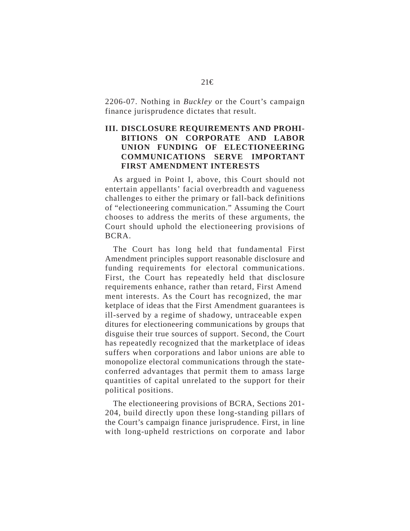2206-07. Nothing in *Buckley* or the Court's campaign finance jurisprudence dictates that result.

## **III. DISCLOSURE REQUIREMENTS AND PROHI-BITIONS ON CORPORATE AND LABOR UNION FUNDING OF ELECTIONEERING COMMUNICATIONS SERVE IMPORTANT FIRST AMENDMENT INTERESTS**

As argued in Point I, above, this Court should not entertain appellants' facial overbreadth and vagueness challenges to either the primary or fall-back definitions of "electioneering communication." Assuming the Court chooses to address the merits of these arguments, the Court should uphold the electioneering provisions of BCRA.

The Court has long held that fundamental First Amendment principles support reasonable disclosure and funding requirements for electoral communications. First, the Court has repeatedly held that disclosure requirements enhance, rather than retard, First Amend ment interests. As the Court has recognized, the mar ketplace of ideas that the First Amendment guarantees is ill-served by a regime of shadowy, untraceable expen ditures for electioneering communications by groups that disguise their true sources of support. Second, the Court has repeatedly recognized that the marketplace of ideas suffers when corporations and labor unions are able to monopolize electoral communications through the stateconferred advantages that permit them to amass large quantities of capital unrelated to the support for their political positions.

The electioneering provisions of BCRA, Sections 201- 204, build directly upon these long-standing pillars of the Court's campaign finance jurisprudence. First, in line with long-upheld restrictions on corporate and labor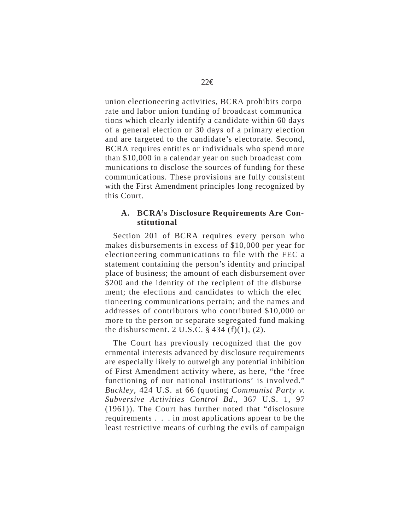union electioneering activities, BCRA prohibits corpo rate and labor union funding of broadcast communica tions which clearly identify a candidate within 60 days of a general election or 30 days of a primary election and are targeted to the candidate's electorate. Second, BCRA requires entities or individuals who spend more than \$10,000 in a calendar year on such broadcast com munications to disclose the sources of funding for these communications. These provisions are fully consistent with the First Amendment principles long recognized by this Court.

#### **A. BCRA's Disclosure Requirements Are Constitutional**

Section 201 of BCRA requires every person who makes disbursements in excess of \$10,000 per year for electioneering communications to file with the FEC a statement containing the person's identity and principal place of business; the amount of each disbursement over \$200 and the identity of the recipient of the disburse ment; the elections and candidates to which the elec tioneering communications pertain; and the names and addresses of contributors who contributed \$10,000 or more to the person or separate segregated fund making the disbursement. 2 U.S.C.  $\S$  434 (f)(1), (2).

The Court has previously recognized that the gov ernmental interests advanced by disclosure requirements are especially likely to outweigh any potential inhibition of First Amendment activity where, as here, "the 'free functioning of our national institutions' is involved." *Buckley*, 424 U.S. at 66 (quoting *Communist Party v. Subversive Activities Control Bd*., 367 U.S. 1, 97 (1961)). The Court has further noted that "disclosure requirements . . . in most applications appear to be the least restrictive means of curbing the evils of campaign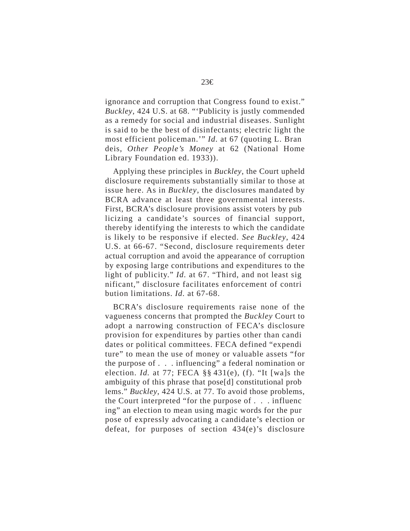ignorance and corruption that Congress found to exist." *Buckley*, 424 U.S. at 68. "'Publicity is justly commended as a remedy for social and industrial diseases. Sunlight is said to be the best of disinfectants; electric light the most efficient policeman.'" *Id.* at 67 (quoting L. Bran deis, *Other People's Money* at 62 (National Home Library Foundation ed. 1933)).

Applying these principles in *Buckley*, the Court upheld disclosure requirements substantially similar to those at issue here. As in *Buckley*, the disclosures mandated by BCRA advance at least three governmental interests. First, BCRA's disclosure provisions assist voters by pub licizing a candidate's sources of financial support, thereby identifying the interests to which the candidate is likely to be responsive if elected. *See Buckley*, 424 U.S. at 66-67. "Second, disclosure requirements deter actual corruption and avoid the appearance of corruption by exposing large contributions and expenditures to the light of publicity." *Id.* at 67. "Third, and not least sig nificant," disclosure facilitates enforcement of contri bution limitations. *Id.* at 67-68.

BCRA's disclosure requirements raise none of the vagueness concerns that prompted the *Buckley* Court to adopt a narrowing construction of FECA's disclosure provision for expenditures by parties other than candi dates or political committees. FECA defined "expendi ture" to mean the use of money or valuable assets "for the purpose of . . . influencing" a federal nomination or election. *Id.* at 77; FECA §§ 431(e), (f). "It [wa]s the ambiguity of this phrase that pose[d] constitutional prob lems." *Buckley*, 424 U.S. at 77. To avoid those problems, the Court interpreted "for the purpose of . . . influenc ing" an election to mean using magic words for the pur pose of expressly advocating a candidate's election or defeat, for purposes of section 434(e)'s disclosure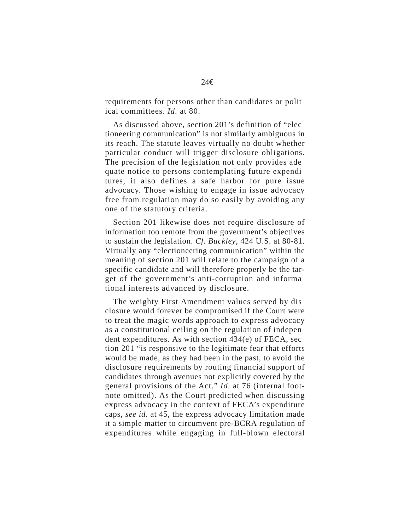requirements for persons other than candidates or polit ical committees. *Id.* at 80.

As discussed above, section 201's definition of "elec tioneering communication" is not similarly ambiguous in its reach. The statute leaves virtually no doubt whether particular conduct will trigger disclosure obligations. The precision of the legislation not only provides ade quate notice to persons contemplating future expendi tures, it also defines a safe harbor for pure issue advocacy. Those wishing to engage in issue advocacy free from regulation may do so easily by avoiding any one of the statutory criteria.

Section 201 likewise does not require disclosure of information too remote from the government's objectives to sustain the legislation. *Cf. Buckley*, 424 U.S. at 80-81. Virtually any "electioneering communication" within the meaning of section 201 will relate to the campaign of a specific candidate and will therefore properly be the target of the government's anti-corruption and informa tional interests advanced by disclosure.

The weighty First Amendment values served by dis closure would forever be compromised if the Court were to treat the magic words approach to express advocacy as a constitutional ceiling on the regulation of indepen dent expenditures. As with section 434(e) of FECA, sec tion 201 "is responsive to the legitimate fear that efforts would be made, as they had been in the past, to avoid the disclosure requirements by routing financial support of candidates through avenues not explicitly covered by the general provisions of the Act." *Id.* at 76 (internal footnote omitted). As the Court predicted when discussing express advocacy in the context of FECA's expenditure caps, *see id.* at 45, the express advocacy limitation made it a simple matter to circumvent pre-BCRA regulation of expenditures while engaging in full-blown electoral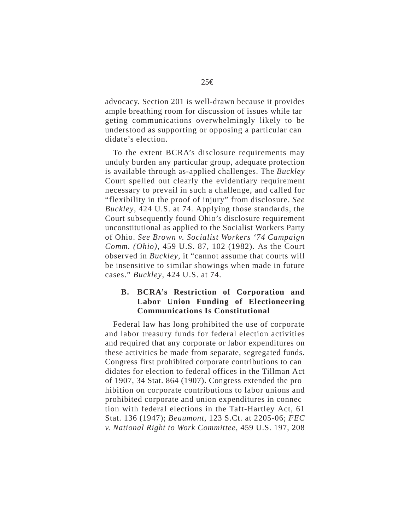advocacy. Section 201 is well-drawn because it provides ample breathing room for discussion of issues while tar geting communications overwhelmingly likely to be understood as supporting or opposing a particular can didate's election.

To the extent BCRA's disclosure requirements may unduly burden any particular group, adequate protection is available through as-applied challenges. The *Buckley*  Court spelled out clearly the evidentiary requirement necessary to prevail in such a challenge, and called for "flexibility in the proof of injury" from disclosure. *See Buckley*, 424 U.S. at 74. Applying those standards, the Court subsequently found Ohio's disclosure requirement unconstitutional as applied to the Socialist Workers Party of Ohio. *See Brown v. Socialist Workers '74 Campaign Comm. (Ohio)*, 459 U.S. 87, 102 (1982). As the Court observed in *Buckley*, it "cannot assume that courts will be insensitive to similar showings when made in future cases." *Buckley*, 424 U.S. at 74.

## **B. BCRA's Restriction of Corporation and Labor Union Funding of Electioneering Communications Is Constitutional**

Federal law has long prohibited the use of corporate and labor treasury funds for federal election activities and required that any corporate or labor expenditures on these activities be made from separate, segregated funds. Congress first prohibited corporate contributions to can didates for election to federal offices in the Tillman Act of 1907, 34 Stat. 864 (1907). Congress extended the pro hibition on corporate contributions to labor unions and prohibited corporate and union expenditures in connec tion with federal elections in the Taft-Hartley Act, 61 Stat. 136 (1947); *Beaumont*, 123 S.Ct. at 2205-06; *FEC v. National Right to Work Committee*, 459 U.S. 197, 208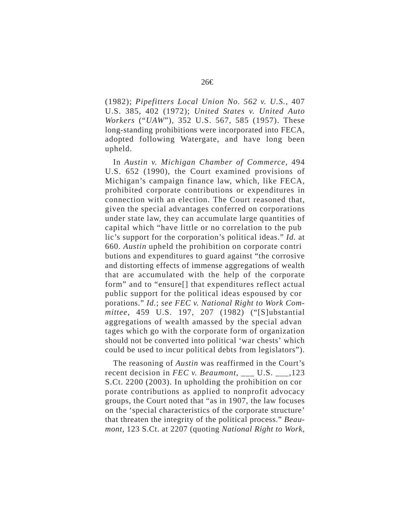(1982); *Pipefitters Local Union No. 562 v. U.S.*, 407 U.S. 385, 402 (1972); *United States v. United Auto Workers* ("*UAW*"), 352 U.S. 567, 585 (1957). These long-standing prohibitions were incorporated into FECA, adopted following Watergate, and have long been upheld.

In *Austin v. Michigan Chamber of Commerce*, 494 U.S. 652 (1990), the Court examined provisions of Michigan's campaign finance law, which, like FECA, prohibited corporate contributions or expenditures in connection with an election. The Court reasoned that, given the special advantages conferred on corporations under state law, they can accumulate large quantities of capital which "have little or no correlation to the pub lic's support for the corporation's political ideas." *Id.* at 660. *Austin* upheld the prohibition on corporate contri butions and expenditures to guard against "the corrosive and distorting effects of immense aggregations of wealth that are accumulated with the help of the corporate form" and to "ensure[] that expenditures reflect actual public support for the political ideas espoused by cor porations." *Id.*; *see FEC v. National Right to Work Committee*, 459 U.S. 197, 207 (1982) ("[S]ubstantial aggregations of wealth amassed by the special advan tages which go with the corporate form of organization should not be converted into political 'war chests' which could be used to incur political debts from legislators").

The reasoning of *Austin* was reaffirmed in the Court's recent decision in *FEC v. Beaumont*, \_\_\_ U.S. \_\_\_,123 S.Ct. 2200 (2003). In upholding the prohibition on cor porate contributions as applied to nonprofit advocacy groups, the Court noted that "as in 1907, the law focuses on the 'special characteristics of the corporate structure' that threaten the integrity of the political process." *Beaumont*, 123 S.Ct. at 2207 (quoting *National Right to Work*,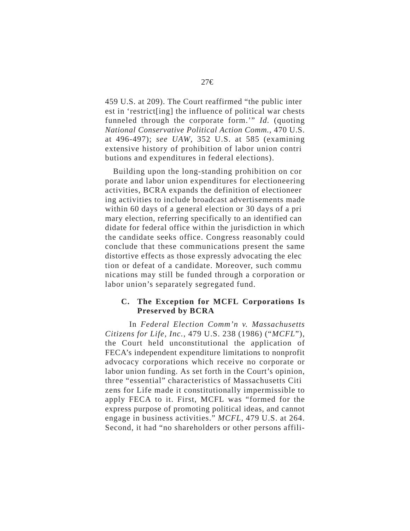459 U.S. at 209). The Court reaffirmed "the public inter est in 'restrict[ing] the influence of political war chests funneled through the corporate form.'" *Id.* (quoting *National Conservative Political Action Comm.*, 470 U.S. at 496-497); *see UAW*, 352 U.S. at 585 (examining extensive history of prohibition of labor union contri butions and expenditures in federal elections).

Building upon the long-standing prohibition on cor porate and labor union expenditures for electioneering activities, BCRA expands the definition of electioneer ing activities to include broadcast advertisements made within 60 days of a general election or 30 days of a pri mary election, referring specifically to an identified can didate for federal office within the jurisdiction in which the candidate seeks office. Congress reasonably could conclude that these communications present the same distortive effects as those expressly advocating the elec tion or defeat of a candidate. Moreover, such commu nications may still be funded through a corporation or labor union's separately segregated fund.

#### **C. The Exception for MCFL Corporations Is Preserved by BCRA**

In *Federal Election Comm'n v. Massachusetts Citizens for Life, Inc.*, 479 U.S. 238 (1986) ("*MCFL*"), the Court held unconstitutional the application of FECA's independent expenditure limitations to nonprofit advocacy corporations which receive no corporate or labor union funding. As set forth in the Court's opinion, three "essential" characteristics of Massachusetts Citi zens for Life made it constitutionally impermissible to apply FECA to it. First, MCFL was "formed for the express purpose of promoting political ideas, and cannot engage in business activities." *MCFL*, 479 U.S. at 264. Second, it had "no shareholders or other persons affili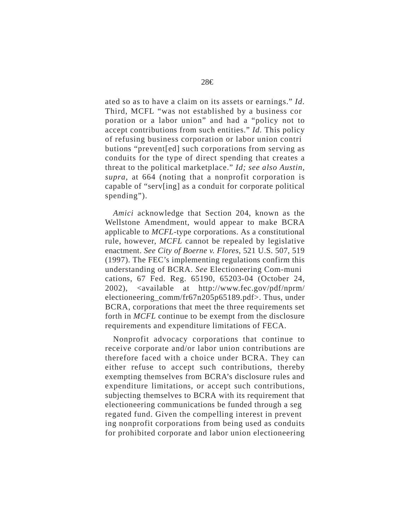ated so as to have a claim on its assets or earnings." *Id.*  Third, MCFL "was not established by a business cor poration or a labor union" and had a "policy not to accept contributions from such entities." *Id.* This policy of refusing business corporation or labor union contri butions "prevent[ed] such corporations from serving as conduits for the type of direct spending that creates a threat to the political marketplace." *Id; see also Austin*, *supra*, at 664 (noting that a nonprofit corporation is capable of "serv[ing] as a conduit for corporate political spending").

*Amici* acknowledge that Section 204, known as the Wellstone Amendment, would appear to make BCRA applicable to *MCFL*-type corporations. As a constitutional rule, however, *MCFL* cannot be repealed by legislative enactment. *See City of Boerne v. Flores*, 521 U.S. 507, 519 (1997). The FEC's implementing regulations confirm this understanding of BCRA. *See* Electioneering Com-muni cations, 67 Fed. Reg. 65190, 65203-04 (October 24, 2002), <available at http://www.fec.gov/pdf/nprm/ electioneering\_comm/fr67n205p65189.pdf>. Thus, under BCRA, corporations that meet the three requirements set forth in *MCFL* continue to be exempt from the disclosure requirements and expenditure limitations of FECA.

Nonprofit advocacy corporations that continue to receive corporate and/or labor union contributions are therefore faced with a choice under BCRA. They can either refuse to accept such contributions, thereby exempting themselves from BCRA's disclosure rules and expenditure limitations, or accept such contributions, subjecting themselves to BCRA with its requirement that electioneering communications be funded through a seg regated fund. Given the compelling interest in prevent ing nonprofit corporations from being used as conduits for prohibited corporate and labor union electioneering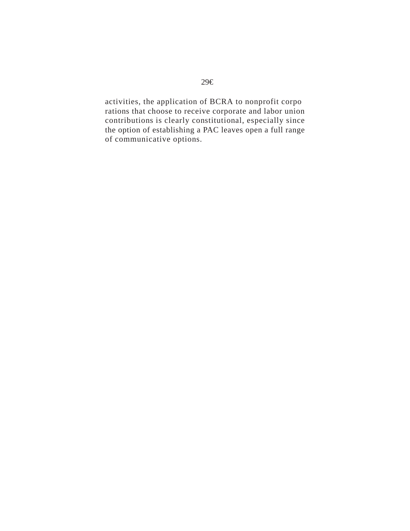activities, the application of BCRA to nonprofit corpo rations that choose to receive corporate and labor union contributions is clearly constitutional, especially since the option of establishing a PAC leaves open a full range of communicative options.

## 29€